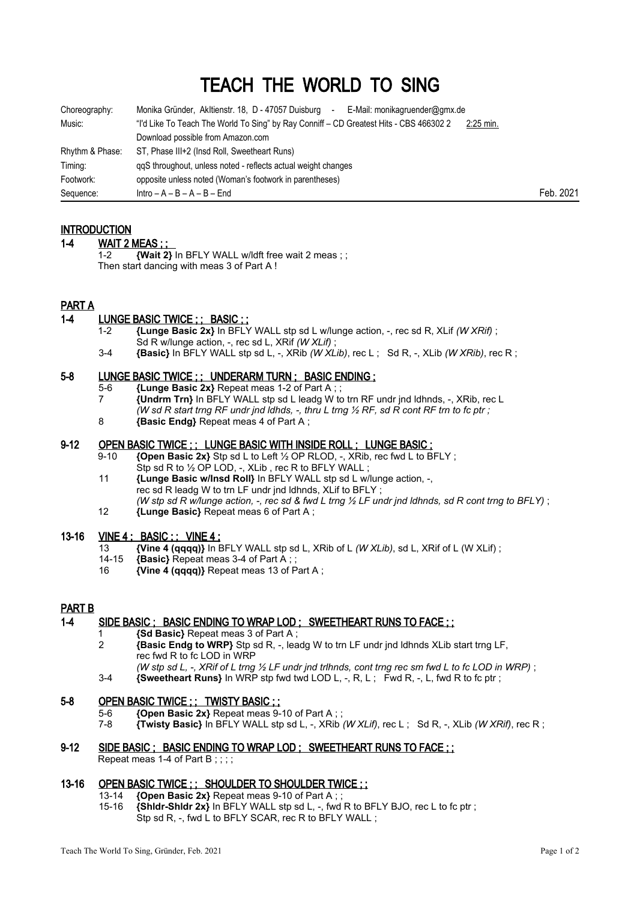# TEACH THE WORLD TO SING

| Choreography:   | Monika Gründer, Akltienstr. 18, D - 47057 Duisburg<br>E-Mail: monikagruender@gmx.de<br>$\overline{\phantom{a}}$ |             |           |
|-----------------|-----------------------------------------------------------------------------------------------------------------|-------------|-----------|
| Music:          | "I'd Like To Teach The World To Sing" by Ray Conniff – CD Greatest Hits - CBS 466302 2                          | $2:25$ min. |           |
|                 | Download possible from Amazon.com                                                                               |             |           |
| Rhythm & Phase: | ST, Phase III+2 (Insd Roll, Sweetheart Runs)                                                                    |             |           |
| Timing:         | ggS throughout, unless noted - reflects actual weight changes                                                   |             |           |
| Footwork:       | opposite unless noted (Woman's footwork in parentheses)                                                         |             |           |
| Sequence:       | $Intro - A - B - A - B - End$                                                                                   |             | Feb. 2021 |

# **INTRODUCTION**

#### 1-4 WAIT 2 MEAS ; ;

 1-2 **{Wait 2}** In BFLY WALL w/ldft free wait 2 meas ; ; Then start dancing with meas 3 of Part A !

## PART A

## 1-4 LUNGE BASIC TWICE ; ; BASIC ; ;

- 1-2 **{Lunge Basic 2x}** In BFLY WALL stp sd L w/lunge action, -, rec sd R, XLif *(W XRif)* ; Sd R w/lunge action, -, rec sd L, XRif *(W XLif)* ;
- 3-4 **{Basic}** In BFLY WALL stp sd L, -, XRib *(W XLib)*, rec L ; Sd R, -, XLib *(W XRib)*, rec R ;

## 5-8 LUNGE BASIC TWICE ; ; UNDERARM TURN ; BASIC ENDING ;

- 5-6 **{Lunge Basic 2x}** Repeat meas 1-2 of Part A ; ;
- 7 **{Undrm Trn}** In BFLY WALL stp sd L leadg W to trn RF undr jnd ldhnds, -, XRib, rec L *(W sd R start trng RF undr jnd ldhds, -, thru L trng ½ RF, sd R cont RF trn to fc ptr ;*
- 8 **{Basic Endg}** Repeat meas 4 of Part A ;

# 9-12 OPEN BASIC TWICE ; ; LUNGE BASIC WITH INSIDE ROLL ; LUNGE BASIC ;

- 9-10 **{Open Basic 2x}** Stp sd L to Left ½ OP RLOD, -, XRib, rec fwd L to BFLY ; Stp sd R to 1/2 OP LOD, -, XLib, rec R to BFLY WALL;
- 11 **{Lunge Basic w/Insd Roll}** In BFLY WALL stp sd L w/lunge action, -, rec sd R leadg W to trn LF undr jnd ldhnds, XLif to BFLY ; *(W stp sd R w/lunge action, -, rec sd & fwd L trng ½ LF undr jnd ldhnds, sd R cont trng to BFLY)* ;
- 12 **{Lunge Basic}** Repeat meas 6 of Part A ;

#### 13-16 VINE 4 ; BASIC ; ; VINE 4 ;

- 13 **{Vine 4 (qqqq)}** In BFLY WALL stp sd L, XRib of L *(W XLib)*, sd L, XRif of L (W XLif) ;
- 14-15 **{Basic}** Repeat meas 3-4 of Part A ; ;
- 16 **{Vine 4 (qqqq)}** Repeat meas 13 of Part A ;

#### PART B

# 1-4 SIDE BASIC ; BASIC ENDING TO WRAP LOD ; SWEETHEART RUNS TO FACE ; ;

- 1 **{Sd Basic}** Repeat meas 3 of Part A ;
- 2 **{Basic Endg to WRP}** Stp sd R, -, leadg W to trn LF undr jnd ldhnds XLib start trng LF, rec fwd R to fc LOD in WRP
	- *(W stp sd L, -, XRif of L trng ½ LF undr jnd trlhnds, cont trng rec sm fwd L to fc LOD in WRP)* ;
- 3-4 **{Sweetheart Runs}** In WRP stp fwd twd LOD L, -, R, L ; Fwd R, -, L, fwd R to fc ptr ;

#### 5-8 OPEN BASIC TWICE ; ; TWISTY BASIC ; ;

- 5-6 **{Open Basic 2x}** Repeat meas 9-10 of Part A ; ;<br>7-8 *Twisty Basic)* In BELY WALL stn sd L XRib
- 7-8 **{Twisty Basic}** In BFLY WALL stp sd L, -, XRib *(W XLif)*, rec L ; Sd R, -, XLib *(W XRif)*, rec R ;

#### 9-12 SIDE BASIC ; BASIC ENDING TO WRAP LOD ; SWEETHEART RUNS TO FACE ; ; Repeat meas 1-4 of Part B;;;;

#### 13-16 OPEN BASIC TWICE ; ; SHOULDER TO SHOULDER TWICE ; ;

- 13-14 **{Open Basic 2x}** Repeat meas 9-10 of Part A ; ;
- 15-16 **{Shldr-Shldr 2x}** In BFLY WALL stp sd L, -, fwd R to BFLY BJO, rec L to fc ptr ; Stp sd R, -, fwd L to BFLY SCAR, rec R to BFLY WALL ;